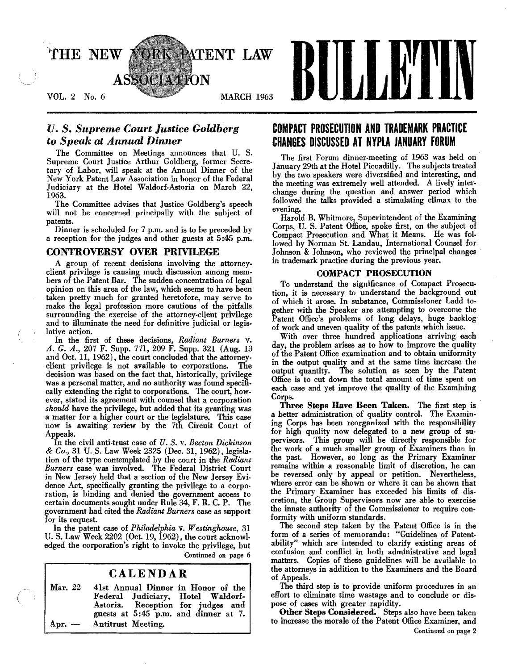

# *U.* S. *Supreme Court Justice Goldberg to Speak* at *Annual Dinner*

The Committee on Meetings announces that U. S. Supreme Court Justice Arthur Goldberg, former Secre· tary of Labor, will speak at the Annual Dinner of the New York Patent Law Association in honor of the Federal Judiciary at the Hotel Waldorf-Astoria on March 22, 1963.

. The Committee advises that Justice Goldberg's speech will not be concerned principally with the subject of patents.

Dinner is scheduled for 7 p.m. and is to be preceded by a reception for the judges and other guests at 5:45 p.m.

# CONTROVERSY OVER PRIVILEGE

A group of recent decisions involving the attorneyclient privilege is causing much discussion among members of the Patent Bar. The sudden concentration of legal opinion on this area of the law, which seems to have been taken pretty much for granted heretofore, may serve to make the legal profession more cautious of the pitfalls surrounding the exercise of the attorney-client privilege and to illuminate the need for definitive judicial or legislative action.

In the first of these decisions, *Radiant Burners* v. A. G. A., 207 F. Supp. 771, 209 F. Supp. 321 (Aug. 13 and Oct. 11, 1962), the court concluded that the attorney. client privilege is not available to corporations. The decision was based on the fact that, historically, privilege was a personal matter, and no authority was found specifically extending the right to corporations. The court, however, stated its agreement with counsel that a corporation *should* have the privilege, but added that its granting was a matter for a higher court or the legislature. This case now is awaiting review by the 7th Circuit Court of Appeals. .

In the civil anti·trust case of *U.* S. v. *Becton Dickinson*   $& Co., 31$  U. S. Law Week 2325 (Dec. 31, 1962), legislation of the type contemplated by the court in the *Radiant Burners* case was involved. The Federal District Court in New Jersey held that a section of the New Jersey Evidence Act, specifically granting the privilege to a corporation, is binding and denied the government access to certain documents sought under Rule 34, F. R. C. P. The government had cited the *Radiant Burners* case as support for its request.

In the patent case of *Philadelphia* v. *Westinghouse,* 31 U. S. Law Week 2202 (Oct. 19, 1962), the court acknowl. edged the corporation's right to invoke the privilege, but Continued on page 6

# CALENDAR

Mar. 22 41st Annual Dinner in Honor of the Federal Judiciary, Hotel<br>Astoria. Reception for ju Reception for judges and guests at 5:45 p.m. and dinner at 7. Apr. - Antitrust Meeting.

# **COMPACT PROSECUTION AND TRADEMARK PRACTICE CHANGES DISCUSSED AT NYPLA JANUARY FORUM**

The first Forum dinner.meeting of 1963 was held on· January 29th at the Hotel Piccadilly. The subjects treated by the two speakers were diversified and interesting, and the meeting was extremely well attended. A lively interchange during the question and answer period which followed the talks provided a stimulating climax to the evening.

Harold B. Whitmore, Superintendent of the Examining Corps, U. S. Patent Office, spoke first, on the subject of Compact Prosecution and What it Means. He was followed by Norman St. Landau, International Counsel for Johnson & Johnson, who reviewed the principal changes in trademark practice during the previous year.

### COMPACT PROSECUTION

To understand the significance of Compact Prosecution, it is necessary to understand the background out of which it arose. In substance, Commissioner Ladd together with the Speaker are attempting to overcome the Patent Office's problems of long delays, huge backlog of work and uneven quality of the patents which issue.

With over three hundred applications arriving each day, the problem arises as to how to improve the quality of the Patent Office examination and to obtain uniformity in the output quality and at the same time increase the output quantity. The solution as seen by the Patent Office is to cut down the total amount of time spent on each case and yet improve the quality of the Examining Corps.

Three Steps Have Been Taken. The first step is a better administration of quality control. The Examining Corps has been reorganized with the responsibility for high quality now delegated to a new group of supervisors. This group will be directly responsible for the work of a much smaller group of Examiners than in the past. However, so long as the Primary Examiner remains within a reasonable limit of discretion, he can be reversed only· by appeal or petition. Nevertheless, where error can be shown or where it can be shown that the Primary Examiner has exceeded his limits of discretion, the Group Supervisors now are able to exercise the innate authority of the Commissioner to require con· formity with uniform standards.

The second step taken by the Patent Office is in the form of a series of memoranda: "Guidelines of Patent· ability" which are intended to clarify existing areas of confusion and conflict in both administrative and legal matters. Copies of these guidelines will be available to the attorneys in addition to the Examiners and the Board of Appeals.

The third step is to provide uniform procedures in an effort to eliminate time wastage and to conclude or dispose of cases with greater rapidity.

Other Steps Considered. Steps also have been taken to mcrease the morale of the Patent Office Examiner, and Continued on page 2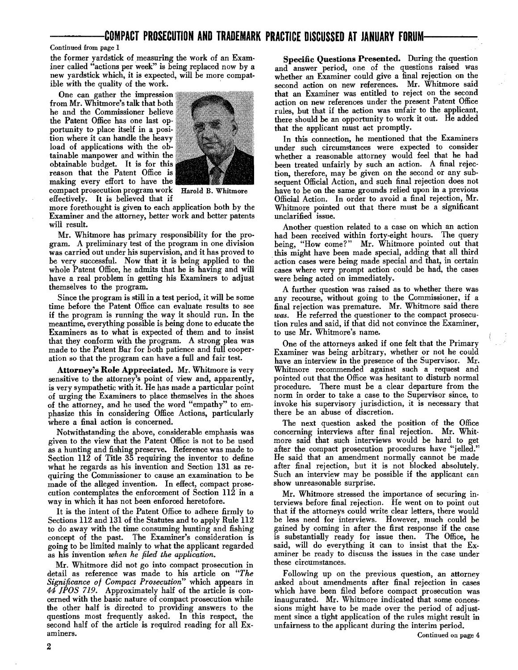#### Continued from page I

the former yardstick of measuring the work of an Examiner called "actions per week" is being replaced now by a new yardstick which, it is expected, will be more compatible with the quality of the work.

One can gather the impression from Mr. Whitmore's talk that both he and the Commissioner helieve' the Patent Office has one last opportunity to place itself in a posi- . tion where it can handle the heavy load of applications with the obtainable manpower and within the obtainable budget. It is for this reason that the Patent Office is making every effort to have the compact prosecution program work Harold B. Whitmore effectively. It is believed that if



more forethought is given to each application both by the Examiner and the attorney, better work and better patents will result.

Mr. Whitmore has primary responsibility for the pro· gram. A preliminary test of the program in one division was carried out under his supervision, and it has proved to be very successful. Now that it is being applied to the whole Patent Office, he admits that he is having and will have a real problem in getting his Examiners to adjust themselves to the program.

Since the program is still in a test period, it will be some time before the Patent Office can evaluate results to see if the program is running the way it should run. In the meantime, everything possible is being done to educate the Examiners as to what is expected of them and to insist that they conform with the program. A strong plea was made to the Patent Bar for both patience and full cooperation so that the program can have a full and fair test.

Attorney's Role Appreciated. Mr. Whitmore is very sensitive to the attorney's point of view and, apparently, is very sympathetic with it. He has made a particular point of urging the Examiners to place themselves in the shoes of the attorney, and he used the word "empathy" to em· phasize this in considering Office Actions, particularly where a final action is concerned.

Notwithstanding the above, considerable emphasis was given to the view that the Patent Office is not to be used as a hunting and fishing preserve. Reference was made to Section 112 of Title 35 requiring the inventor to define what he regards as his invention and Section 131 as requiring the Commissioner to cause an examination to be made of the alleged invention. In effect, compact prose· cution contemplates the enforcement of Section 112 in a way in which it has not been enforced heretofore.

It is the intent of the Patent Office to adhere firmly to Sections 112 and 131 of the Statutes and to apply Rule 112 to do away with the time consuming hunting and fishing concept of the past. The Examiner's consideration is going to be limited mainly to what the applicant regarded as his invention *when he filed the application.* 

Mr. Whitmore did not go into compact prosecution in detail as reference was made to his article on *"The Significance of Compact Prosecution"* which appears in *44 ]POS* 719. Approximately half of the article is concerned with the basic nature of compact prosecution while the other half is directed to providing answers to the questions most frequently asked. In this respect, the second half of the article is required reading for all Examiners.

Specific Questions Presented. During the question and answer period, one of the questions raised was whether an Examiner could give a final rejection on the second action on new references. Mr. Whitmore said that an Examiner was entitled to reject on the second action on new references under the present Patent Office rules, but that if the action was unfair to the applicant, there should be an opportunity to work it out. He added that the applicant must act promptly.

In this connection, he mentioned that the Examiners under such circumstances were expected to consider whether a reasonable attorney would feel that he had been treated unfairly by such an action. A final rejection, therefore, may be given on the second or any subsequent Official Action, and such final rejection does not have to be on the same grounds relied upon in a previous Official Action. In order to avoid a final rejection, Mr. Whitmore pointed out that there must be a significant unclarified issue.

Another question related to a case on which an action had been received within forty-eight hours. The query being, "How come?" Mr. Whitmore pointed out that . this might have been made special, adding that all third action cases were being made special and that, in certain cases where very prompt action could be had, the cases were being acted on immediately.

A further question was raised as to whether there was any recourse, without going to the Commissioner, if a final rejection was premature. Mr. Whitmore said there was. He referred the questioner to the compact prosecution rules and said, if that did not convince the Examiner, to use Mr. Whitmore's name.

One of the attorneys asked if one felt that the Primary Examiner was being arbitrary, whether or not he could have an interview in the presence of the Supervisor. Mr. Whitmore recommended against such a request and pointed out that the Office was hesitant to disturb normal procedure. There must be a clear departure from the norm in order to take a case to the Supervisor since, to invoke his supervisory jurisdiction, it is necessary that there be an abuse of discretion.

The next question asked the position of the Office concerning interviews after final rejection. Mr. Whitmore said that such interviews would be hard to get after the compact prosecution procedures have "jelled." He said that an amendment normally cannot be made after final rejection, but it is not blocked absolutely. Such an interview may be possible if the applicant can show unreasonable surprise.

Mr. Whitmore stressed the importance of securing in· terviews before final rejection. He went on to point out that if the attorneys could write clear letters, there would be less need for interviews. However, much could be gained by coming in after the first response if the case is substantially ready for issue then. The Office, he said, will do everything it can to insist that the Examiner be ready to discuss the issues in the case under these circumstances.

Following up on the previous question, an attorney asked about amendments after final rejection in cases which have been filed before compact prosecution was inaugurated. Mr. Whitmore indicated that some concessions might have to be made over the period of adjustment since a tight application of the rules might result in unfairness to the applicant during the interim period.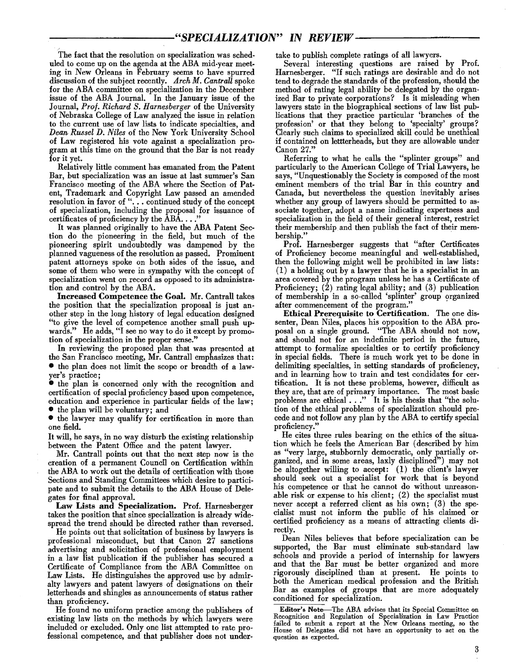The fact that the resolution on specialization was scheduled to come up on the agenda at the ABA mid-year meeting in New Orleans in February seems to have spurred discussion of the subject recently. *Arch M. CantraU* spoke for the ABA committee on specialization in the December issue of the ABA Journal. In the January issue of the Journal, *Prof. Richard S. Harnesberger* of the University of Nebraska College of Law analyzed the issue in relation to the current use of law lists to indicate specialties, and *Dean Russel D. Niles* of the New York University School of Law registered his vote against a specialization program at this time on the ground that the Bar is not ready for it yet.

Relatively little comment has emanated from the Patent Bar, but specialization was an issue at last summer's San Francisco meeting of the ABA where the Section of Patent, Trademark and Copyright Law passed an amended resolution in favor of "... continued study of the concept of specialization, including the proposal for issuance of certificates of proficiency by the  $\widehat{A}B\widehat{A}\dots$ .

It was planned originally to have the ABA Patent Section do the pioneering in the field, but much of the pioneering spirit undoubtedly was dampened by the planned vagueness of the resolution as passed. Prominent patent attorneys spoke on both sides of the issue, and some of them who were in sympathy with the concept of specialization went on record as opposed to its administra· tion and control by the ABA.

Increased Competence the Goal. Mr. Cantrall takes the position that the specialization proposal is just another step in the long history of legal education designed "to give the level of competence another small push upwards." He adds, "I see no way to do it except by promotion of specialization in the proper sense."

In reviewing the proposed plan that was presented at the San Francisco meeting, Mr. Cantrall emphasizes that: • the plan does not limit the scope or breadth of a lawyer's practice;

• the plan is concerned only with the recognition and certification of special proficiency based upon competence, education and experience in particular fields of the law;

• the plan will be voluntary; and

• the lawyer may qualify for certification in more than one field.

It will, he says, in no way disturb the existing relationship between the Patent Office and the patent lawyer.

Mr. Cantrall points out that the next step now is the creation of a permanent Council on Certification within the ABA to work out the details of certification with those Sections and Standing Committees which desire to participate and to submit the details to the ABA House of Delegates for final approval.

Law Lists and Specialization. Prof. Harnesberger takes the position that since specialization is already widespread the trend should be directed rather than reversed.

He points out that solicitation of business by lawyers is professional misconduct, but that Canon 27 sanctions advertising and solicitation of professional employment in a law list publication if the publisher has secured a Certificate of Compliance from the ABA Committee on Law Lists. He distinguishes the approved use by admiralty lawyers and patent lawyers of designations on their letterheads and shingles as announcements of status rather than proficiency.

He found no uniform practice among the publishers of existing law lists on the methods by which lawyers were included or excluded. Only one list attempted to rate professional competence, and that publisher does not undertake to publish complete ratings of all lawyers.

Several interesting questions are raised by Prof. Harnesberger. "If such ratings are desirable and do not tend to degrade the standards of the profession, should the method of rating legal ability be delegated by the organized Bar to private corporations? Is it misleading when lawyers state in the biographical sections of law list publications that they practice particular 'branches of the profession' or that they belong to 'specialty' groups? Clearly such claims to specialized skill could be unethical if contained on lettterheads, but they are allowable under Canon 27.

Referring to what he calls the "splinter groups" and particularly to the American College of Trial Lawyers, he says, "Unquestionably the Society is composed of the most eminent members of the trial Bar in this country and Canada, but nevertheless the question inevitably arises whether any group of lawyers should be permitted to associate together, adopt a name indicating expertness and specialization in the field of their general interest, restrict their membership and then publish the fact of their membership."

Prof. Harnesberger suggests that "after Certificates of Proficiency become meaningful and well-established, then the following might well be prohibited in law lists: (1) a holding out by a lawyer that he is a specialist in an area covered by the program unless he has a Certificate of Proficiency; (2) rating legal ability; and (3) publication of membership in a so-called 'splinter' group organized after commencement of the program."

Ethical Prerequisite to Certification. The one dissenter, Dean Niles, places his opposition to the ABA proposal on a single ground. "The ABA should not now, and should not for an indefinite period in the future, attempt to formalize specialties or to certify proficiency in special fields. There is much work yet to be done in delimiting specialties, in setting standards of proficiency, and in learning how to train and test condidates for certification. It is not these problems, however, difficult as they are, that are of primary importance. The most basic problems are ethical . .." It is his thesis that "the solution of the ethical problems of specialization should precede and not follow any plan by the ABA to certify special proficiency."

He cites three rules bearing on the ethics of the situation which he feels the American Bar (described by him as "very large, stubbornly democratic, only partially organized, and in some areas, laxly disciplined") may not be altogether willing to accept: (1) the client's lawyer should seek out a specialist for work that is beyond his competence or that he cannot do without unreasonable risk or expense to his client; (2) the specialist must never accept a referred client as his own; (3) the specialist must not inform the public of his claimed or certified proficiency as a means of attracting clients directly.

Dean Niles believes that before specialization can be supported, the Bar must eliminate sub-standard law schools and provide a period of internship for lawyers and that the Bar must be better organized and more rigorously disciplined than at present. He points to both the American medical profession and the British Bar as examples of groups that are more adequately conditioned for specialization.

Editor's Not\_The ABA advises that its Special Committee on Recognition and Regulation of Specialization in Law Practice failed to submit a report at the New Orleans meeting, so the House of Delegates did not have an opportunity to act on the question as expected.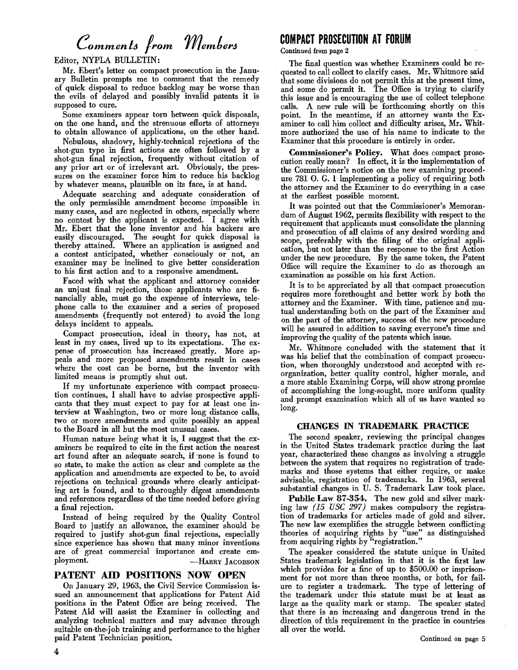# *Commenlo from memtero*

Editor, NYPLA BULLETIN:

Mr. Ebert's letter on compact prosecution in the January Bulletin prompts me to comment that the remedy of quick disposal to reduce backlog may be worse than the evils of delayed and possibly invalid patents it is supposed to cure.

Some examiners appear torn between quick disposals, on the one hand, and the strenuous efforts of attorneys to obtain allowance of applications, on the other hand.

Nebulous, shadowy, highly-technical rejections of the shot-gun type in first actions are often followed by a shot-gun final rejection, frequently without citation of any prior art or of irrelevant art. Obviously, the pressures on the examiner force him to reduce his backlog by whatever means, plausible on its face, is at hand.

Adequate searching and adequate consideration of the only permissible amendment become impossible in many cases, and are neglected in others, especially where no contest by the applicant is expected. I agree with Mr. Ebert that the lone inventor and his backers are easily discouraged. The sought for quick disposal is thereby attained. Where an application is assigned and a contest anticipated, whether consciously or not, an examiner may be inclined to give better consideration to his first action and to a responsive amendment.

Faced with what the applicant and attorney consider an unjust final rejection, those applicants who are financially able, must go the expense of interviews, telephone calls to the examiner and a series of proposed amendments (frequently not entered) to avoid the long delays incident to appeals.

Compact prosecution, ideal in theory, has not, at least in my cases, lived up to its expectations. The expense of prosecution has increased greatly. More appeals and more proposed amendments result in cases where the cost can be borne, but the inventor with limited means is promptly shut out.

H my unfortunate experience with compact prosecution continues, I shall have to advise prospective applicants that they must expect to pay for at least one interview at Washington, two or more long distance calls, two or more amendments and quite possibly an appeal to the Board in all but the most unusual cases.

Human nature being what it is, I suggest that the examiners be required to cite in the first action the nearest art found after an adequate search, if none is found to so state, to make the action as clear and complete as the application and amendments are expected to *be,* to avoid rejections on technical grounds where clearly anticipating art is found, and to thoroughly digest amendments and references regardless of the time needed before giving a final rejection.

Instead of being required by the Quality Control Board to justify an allowance, the examiner should be required to justify shot-gun final rejections, especially since experience has shown that many minor inventions are of great commercial importance and create employment. - HARRY JACOBSON

# PATENT AID POSITIONS NOW OPEN

On January 29, 1963, the Civil Service Commission issued an announcement that applications for Patent Aid positions in the Patent Office are being received. The Patent Aid will assist the Examiner in collecting and analyzing technical matters and may advance through suitable on-the-job training and performance to the higher paid Patent Technician position.

# **COMPACT PROSECUTION AT FORUM**

Continued from page 2

The final question was whether Examiners could be requested to call collect to clarify cases. Mr. Whitmore said that some divisions do not permit this at the present time, and some do permit it. The Office is trying to clarify this issue and is encouraging the use of collect telephone calls. A new rule will be forthcoming shortly on this point. In the meantime, if an attorney wants the Examiner to call him collect and difficulty arises, Mr. Whitmore authorized the use of his name to indicate to the Examiner that this procedure is entirely in order.

Commissioner's Policy. What does compact prosecution really mean? In effect, it is the implementation of the Commissioner's notice on the new examining procedure 781 O. G. 1 implementing a policy of requiring both the attorney and the Examiner to do everything in a case at the earliest possible moment.

It was pointed out that the Commissioner's Memorandum of August 1962, permits flexibility with respect to the requirement that applicants must consolidate the planning and prosecution of all claims of any desired wording and scope, preferably with the filing of the original cation, but not later than the response to the first Action under the new procedure. By the same token, the Patent Office will require the Examiner to do as thorough an examination as possible on his first Action.

It is to be appreciated by all that compact prosecution requires more forethought and better work by both the attorney and the Examiner. With time, patience and mutual understanding both on the part of the Examiner and on the part of the attorney, success of the new procedure will be assured in addition to saving everyone's time and improving the quality of the patents which issue.

Mr. Whitmore concluded with the statement that it was his belief that the combination of compact prosecution, when thoroughly understood and accepted with reorganization, better quality control, higher morale, and a more stable Examining Corps, will show strong promise of accomplishing the long-sought, more uniform quality and prompt examination which all of us have wanted so long.

# CHANGES IN TRADEMARK PRACTICE

The second speaker, reviewing the principal changes in the United States trademark practice during the last year, characterized these changes as involving a struggle between the system that requires no registration of trademarks and those systems that either require, or make advisable, registration of trademarks. In 1963, several substantial changes in U. S. Trademark Law took place.

Public Law 87·354. The new gold and silver marking law *(l5 USC* 297) makes compulsory the registration of trademarks for articles made of gold and silver. The new law exemplifies the struggle between conflicting theories of acquiring rights by "use" as distinguished from acquiring rights by "registration."

The speaker considered the statute unique in United States trademark legislation in that it is the first law which provides for a fine of up to \$500.00 or imprisonment for not more than three months, or both, for failure to register a trademark. The type of lettering of the trademark under this statute must be at least as large as the quality mark or stamp. The speaker stated that there is an increasing and dangerous trend in the direction of this requirement in the practice in countries all over the world.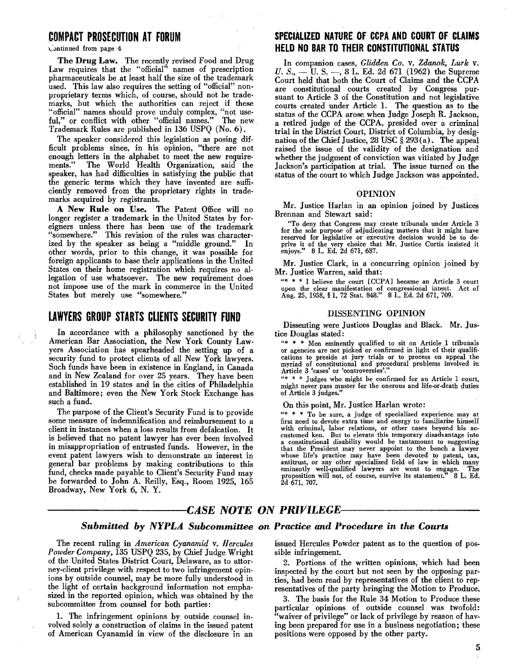The Drug Law. The recently revised Food and Drug Law requires that the "official" names of prescription pharmaceuticals be at least half the size of the trademark used. This law also requires the setting of "official" non· proprietary terms which, of course, should not be trade· marks, but which the authorities can reject if these "official" names should prove unduly complex, "not use· ful," or conflict with other "official names." The new Trademark Rules are published in 136 USPQ (No.6).

The speaker considered this legislation as posing dif· ficult problems since, in his opinion, "there are not enough letters in the alphabet to meet the new require. ments." The World Health Organization, said the ments." The World Health Organization, said the speaker, has had difficulties in satisfying the public that the generic terms which they have invented are suffi· ciently removed from the proprietary rights in trade· marks acquired by registrants.

A New Rule on Use. The Patent Office will no longer register a trademark in the United States by for· eigners unless there has been use of the trademark "somewhere." This revision of the rules was character· ized by the speaker as being a "middle ground." In other words, prior to this change, it was possible for foreign applicants to base their applications in the United States on their home registration which requires no al· legation of use whatsoever. The new requirement does not impose use of the mark in commerce in the United States but merely use "somewhere."

# LAWYERS GROUP STARTS CLIENTS SECURITY FUND

In accordance with a philosophy sanctioned by the American Bar Association, the New York County Lawyers Association has spearheaded the setting up of a security fund to protect clients of all New York lawyers. Such funds have been in existence in England, in Canada and in New Zealand for over 25 years. They have been established in 19 states and in the cities of Philadelphia and Baltimore; even the New York Stock Exchange has such a fund.

The purpose of the Client's Security Fund is to provide some measure of indemnification and reimbursement to a client in instances when a loss results from defalcation. It is believed that no patent lawyer has ever been involved in misappropriation of entrusted funds. However, in the event patent lawyers wish to demonstrate an interest in general bar problems by making contributions to this fund, checks made payable to Client's Security Fund may be forwarded to John A. Reilly, Esq., Room 1925, 165 Broadway, New York 6, N. Y.

# COMPACT PROSECUTION AT FORUM SPECIALIZED NATURE OF CCPA AND COURT OF CLAIMS "Lvntinued from page 4 HELD NO BAR TO THEIR CONSTITUTIONAL STATUS

In companion cases, *Glidden Co. v. Zdanok, Lurk v.* U. S., - U. S. --, 8 L. Ed. 2d 671 (1962) the Supreme Court held that both the Court of Claims and the CCPA are constitutional courts created by Congress pursuant to Article 3 of the Constitution and not legislative courts created under Article 1. The question as to the status of the CCPA arose when Judge Joseph R. Jackson, a retired judge of the CCPA, presided over a criminal trial in the District Court, District of Columbia, by designation of the Chief Justice, 28 USC  $\S 293(a)$ . The appeal raised the issue of the validity of the designation and whether the judgment of conviction was vitiated by Judge Jackson's participation at trial. The issue turned on the status of the court to which Judge Jackson was appointed.

#### OPINION

Mr. Justice Harlan in an opinion joined by Justices Brennan and Stewart said:

"To deny that Congress may create tribunals under Article 3 for the sole purpose of adjudicating matters that it might have reserved for legislative or executive decision would be to de· prive it of the very choice that Mr. Justice Curtis insisted it enjoys." 8 L. Ed. 2d 671, 687.

Mr. Justice Clark, in a concurring opinion joined by Mr. Justice Warren, said that;

 $***$  I believe the court  $[CCPA]$  became an Article 3 court upon the clear manifestation of congressional intent. Act of upon the clear manifestation of congressional intent. Act of Aug. 25, 1958, § 1, 72 Stat. 848." 8 L. Ed. 2d 671, 709.

#### DISSENTING OPINION

Dissenting were Justices Douglas and Black. Mr. Justice Douglas stated:

 $**$  \* Men eminently qualified to sit on Article 1 tribunals or agencies are not picked or confirmed in light of their qualifications to preside at jury trials or to process on appeal the myriad of constitutional and' procedural problems involved in Article 3 'cases' or 'controversies'.

"\* \* \* Judges who might be confirmed for an Article 1 court, might never pass muster for the onerous and life·or.death duties of Article 3 judges."

On this point, Mr. Justice Harlan wrote:

\*\* \* \* To be sure, a judge of specialized experience may at first need to devote extra time and energy to familiarize himself with criminal, labor relations, or other cases beyond his ac customed ken. But to elevate this temporary disadvantage into a constitutional disability would be tantamount to suggesting that the President may never appoint to the bench a lawyer whose life's practice may have been devoted to patent, tax, antitrust, or any other specialized field of law in which many eminently well-qualified lawyers are wont to engage. The proposition will not, of course, survive its statement.'" 8 L. Ed. 2d 671, 707.

# -CASE NOTE ON PRIVILEGE-

# *Submitted by NYPLA. Subcommittee on Practice and Procedure in the Courts*

The recent ruling in *American Cyanamid* v. *Hercules Powder Company,* 135 USPQ 235, by Chief Judge Wright of the United States District Court, Delaware, as to attorney-client privilege with respect to two infringement opinions by outside counsel, may be more fully understood in the light of certain background information not emphasized in the reported opinion, which was obtained by the subcommittee from counsel for both parties:

1. The infringement opinions by outside counsel involved solely a construction of claims in the issued patent of American Cyanamid in view of the disclosure in an

issued Hercules Powder patent as to the question of possible infringement.

2. Portions of the written opinions, which had been inspected by the court but not seen by the opposing par· ties, had been read by representatives of the client to representatives of the party bringing the Motion to Produce.

3. The basis for the Rule 34 Motion to Produce these particular opinions of outside counsel was twofold: "waiver of privilege" or lack of privilege by reason of having been prepared for use in a business negotiation; these positions were opposed by the other party.